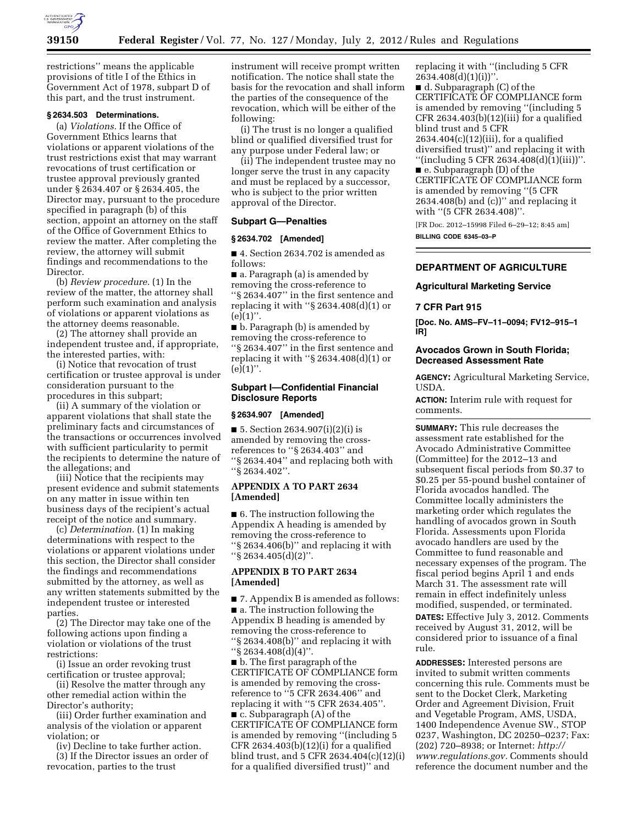

restrictions'' means the applicable provisions of title I of the Ethics in Government Act of 1978, subpart D of this part, and the trust instrument.

# **§ 2634.503 Determinations.**

(a) *Violations.* If the Office of Government Ethics learns that violations or apparent violations of the trust restrictions exist that may warrant revocations of trust certification or trustee approval previously granted under § 2634.407 or § 2634.405, the Director may, pursuant to the procedure specified in paragraph (b) of this section, appoint an attorney on the staff of the Office of Government Ethics to review the matter. After completing the review, the attorney will submit findings and recommendations to the Director.

(b) *Review procedure.* (1) In the review of the matter, the attorney shall perform such examination and analysis of violations or apparent violations as the attorney deems reasonable.

(2) The attorney shall provide an independent trustee and, if appropriate, the interested parties, with:

(i) Notice that revocation of trust certification or trustee approval is under consideration pursuant to the procedures in this subpart;

(ii) A summary of the violation or apparent violations that shall state the preliminary facts and circumstances of the transactions or occurrences involved with sufficient particularity to permit the recipients to determine the nature of the allegations; and

(iii) Notice that the recipients may present evidence and submit statements on any matter in issue within ten business days of the recipient's actual receipt of the notice and summary.

(c) *Determination.* (1) In making determinations with respect to the violations or apparent violations under this section, the Director shall consider the findings and recommendations submitted by the attorney, as well as any written statements submitted by the independent trustee or interested parties.

(2) The Director may take one of the following actions upon finding a violation or violations of the trust restrictions:

(i) Issue an order revoking trust certification or trustee approval;

(ii) Resolve the matter through any other remedial action within the Director's authority;

(iii) Order further examination and analysis of the violation or apparent violation; or

(iv) Decline to take further action. (3) If the Director issues an order of

revocation, parties to the trust

instrument will receive prompt written notification. The notice shall state the basis for the revocation and shall inform the parties of the consequence of the revocation, which will be either of the following:

(i) The trust is no longer a qualified blind or qualified diversified trust for any purpose under Federal law; or

(ii) The independent trustee may no longer serve the trust in any capacity and must be replaced by a successor, who is subject to the prior written approval of the Director.

### **Subpart G—Penalties**

## **§ 2634.702 [Amended]**

■ 4. Section 2634.702 is amended as follows:

■ a. Paragraph (a) is amended by removing the cross-reference to ''§ 2634.407'' in the first sentence and replacing it with ''§ 2634.408(d)(1) or  $(e)(1)$ ".

■ b. Paragraph (b) is amended by removing the cross-reference to ''§ 2634.407'' in the first sentence and replacing it with ''§ 2634.408(d)(1) or  $(e)(1)$ ".

# **Subpart I—Confidential Financial Disclosure Reports**

## **§ 2634.907 [Amended]**

 $\blacksquare$  5. Section 2634.907(i)(2)(i) is amended by removing the crossreferences to ''§ 2634.403'' and ''§ 2634.404'' and replacing both with ''§ 2634.402''.

# **APPENDIX A TO PART 2634 [Amended]**

■ 6. The instruction following the Appendix A heading is amended by removing the cross-reference to ''§ 2634.406(b)'' and replacing it with ''§ 2634.405(d)(2)''.

# **APPENDIX B TO PART 2634 [Amended]**

■ 7. Appendix B is amended as follows: ■ a. The instruction following the Appendix B heading is amended by

removing the cross-reference to ''§ 2634.408(b)'' and replacing it with ''§ 2634.408(d)(4)''.

■ b. The first paragraph of the CERTIFICATE OF COMPLIANCE form is amended by removing the crossreference to ''5 CFR 2634.406'' and replacing it with ''5 CFR 2634.405''.

■ c. Subparagraph (A) of the CERTIFICATE OF COMPLIANCE form is amended by removing ''(including 5 CFR 2634.403 $(b)(12)(i)$  for a qualified blind trust, and 5 CFR 2634.404(c)(12)(i) for a qualified diversified trust)'' and

replacing it with ''(including 5 CFR  $2634.408(d)(1)(i)$ ■ d. Subparagraph (C) of the CERTIFICATE OF COMPLIANCE form is amended by removing ''(including 5

CFR  $2634.403(b)(12)(iii)$  for a qualified blind trust and 5 CFR 2634.404(c)(12)(iii), for a qualified diversified trust)'' and replacing it with

''(including 5 CFR 2634.408(d)(1)(iii))''. ■ e. Subparagraph (D) of the CERTIFICATE OF COMPLIANCE form is amended by removing ''(5 CFR 2634.408(b) and (c))'' and replacing it with ''(5 CFR 2634.408)''.

[FR Doc. 2012–15998 Filed 6–29–12; 8:45 am] **BILLING CODE 6345–03–P** 

# **DEPARTMENT OF AGRICULTURE**

# **Agricultural Marketing Service**

## **7 CFR Part 915**

**[Doc. No. AMS–FV–11–0094; FV12–915–1 IR]** 

# **Avocados Grown in South Florida; Decreased Assessment Rate**

**AGENCY:** Agricultural Marketing Service, USDA.

**ACTION:** Interim rule with request for comments.

**SUMMARY:** This rule decreases the assessment rate established for the Avocado Administrative Committee (Committee) for the 2012–13 and subsequent fiscal periods from \$0.37 to \$0.25 per 55-pound bushel container of Florida avocados handled. The Committee locally administers the marketing order which regulates the handling of avocados grown in South Florida. Assessments upon Florida avocado handlers are used by the Committee to fund reasonable and necessary expenses of the program. The fiscal period begins April 1 and ends March 31. The assessment rate will remain in effect indefinitely unless modified, suspended, or terminated.

**DATES:** Effective July 3, 2012. Comments received by August 31, 2012, will be considered prior to issuance of a final rule.

**ADDRESSES:** Interested persons are invited to submit written comments concerning this rule. Comments must be sent to the Docket Clerk, Marketing Order and Agreement Division, Fruit and Vegetable Program, AMS, USDA, 1400 Independence Avenue SW., STOP 0237, Washington, DC 20250–0237; Fax: (202) 720–8938; or Internet: *[http://](http://www.regulations.gov) [www.regulations.gov.](http://www.regulations.gov)* Comments should reference the document number and the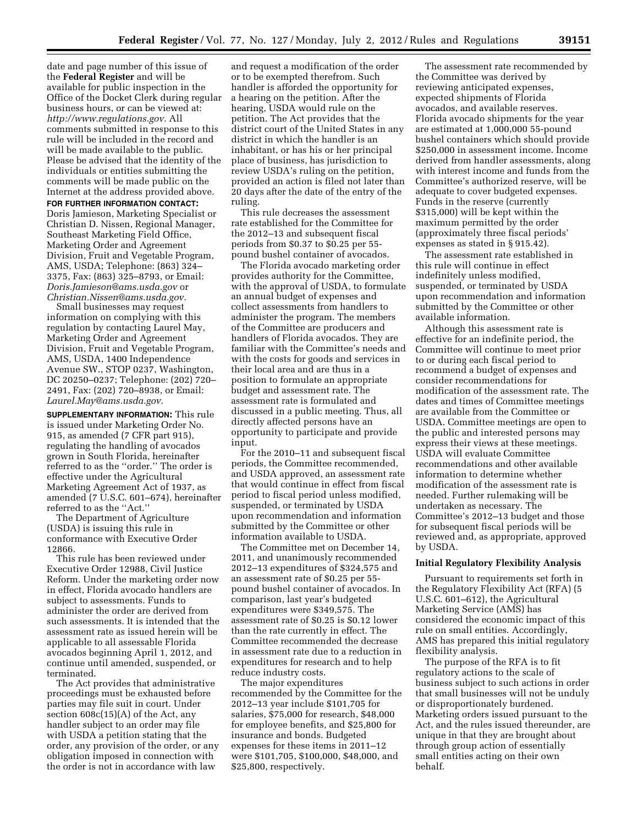date and page number of this issue of the **Federal Register** and will be available for public inspection in the Office of the Docket Clerk during regular business hours, or can be viewed at: *[http://www.regulations.gov.](http://www.regulations.gov)* All comments submitted in response to this rule will be included in the record and will be made available to the public. Please be advised that the identity of the individuals or entities submitting the comments will be made public on the Internet at the address provided above.

**FOR FURTHER INFORMATION CONTACT:**  Doris Jamieson, Marketing Specialist or Christian D. Nissen, Regional Manager, Southeast Marketing Field Office, Marketing Order and Agreement Division, Fruit and Vegetable Program, AMS, USDA; Telephone: (863) 324– 3375, Fax: (863) 325–8793, or Email: *[Doris.Jamieson@ams.usda.gov](mailto:Doris.Jamieson@ams.usda.gov)* or *[Christian.Nissen@ams.usda.gov.](mailto:Christian.Nissen@ams.usda.gov)* 

Small businesses may request information on complying with this regulation by contacting Laurel May, Marketing Order and Agreement Division, Fruit and Vegetable Program, AMS, USDA, 1400 Independence Avenue SW., STOP 0237, Washington, DC 20250–0237; Telephone: (202) 720– 2491, Fax: (202) 720–8938, or Email: *[Laurel.May@ams.usda.gov.](mailto:Laurel.May@ams.usda.gov)* 

**SUPPLEMENTARY INFORMATION:** This rule is issued under Marketing Order No. 915, as amended (7 CFR part 915), regulating the handling of avocados grown in South Florida, hereinafter referred to as the ''order.'' The order is effective under the Agricultural Marketing Agreement Act of 1937, as amended (7 U.S.C. 601-674), hereinafter referred to as the ''Act.''

The Department of Agriculture (USDA) is issuing this rule in conformance with Executive Order 12866.

This rule has been reviewed under Executive Order 12988, Civil Justice Reform. Under the marketing order now in effect, Florida avocado handlers are subject to assessments. Funds to administer the order are derived from such assessments. It is intended that the assessment rate as issued herein will be applicable to all assessable Florida avocados beginning April 1, 2012, and continue until amended, suspended, or terminated.

The Act provides that administrative proceedings must be exhausted before parties may file suit in court. Under section 608c(15)(A) of the Act, any handler subject to an order may file with USDA a petition stating that the order, any provision of the order, or any obligation imposed in connection with the order is not in accordance with law

and request a modification of the order or to be exempted therefrom. Such handler is afforded the opportunity for a hearing on the petition. After the hearing, USDA would rule on the petition. The Act provides that the district court of the United States in any district in which the handler is an inhabitant, or has his or her principal place of business, has jurisdiction to review USDA's ruling on the petition, provided an action is filed not later than 20 days after the date of the entry of the ruling.

This rule decreases the assessment rate established for the Committee for the 2012–13 and subsequent fiscal periods from \$0.37 to \$0.25 per 55 pound bushel container of avocados.

The Florida avocado marketing order provides authority for the Committee, with the approval of USDA, to formulate an annual budget of expenses and collect assessments from handlers to administer the program. The members of the Committee are producers and handlers of Florida avocados. They are familiar with the Committee's needs and with the costs for goods and services in their local area and are thus in a position to formulate an appropriate budget and assessment rate. The assessment rate is formulated and discussed in a public meeting. Thus, all directly affected persons have an opportunity to participate and provide input.

For the 2010–11 and subsequent fiscal periods, the Committee recommended, and USDA approved, an assessment rate that would continue in effect from fiscal period to fiscal period unless modified, suspended, or terminated by USDA upon recommendation and information submitted by the Committee or other information available to USDA.

The Committee met on December 14, 2011, and unanimously recommended 2012–13 expenditures of \$324,575 and an assessment rate of \$0.25 per 55 pound bushel container of avocados. In comparison, last year's budgeted expenditures were \$349,575. The assessment rate of \$0.25 is \$0.12 lower than the rate currently in effect. The Committee recommended the decrease in assessment rate due to a reduction in expenditures for research and to help reduce industry costs.

The major expenditures recommended by the Committee for the 2012–13 year include \$101,705 for salaries, \$75,000 for research, \$48,000 for employee benefits, and \$25,800 for insurance and bonds. Budgeted expenses for these items in 2011–12 were \$101,705, \$100,000, \$48,000, and \$25,800, respectively.

The assessment rate recommended by the Committee was derived by reviewing anticipated expenses, expected shipments of Florida avocados, and available reserves. Florida avocado shipments for the year are estimated at 1,000,000 55-pound bushel containers which should provide \$250,000 in assessment income. Income derived from handler assessments, along with interest income and funds from the Committee's authorized reserve, will be adequate to cover budgeted expenses. Funds in the reserve (currently \$315,000) will be kept within the maximum permitted by the order (approximately three fiscal periods' expenses as stated in § 915.42).

The assessment rate established in this rule will continue in effect indefinitely unless modified, suspended, or terminated by USDA upon recommendation and information submitted by the Committee or other available information.

Although this assessment rate is effective for an indefinite period, the Committee will continue to meet prior to or during each fiscal period to recommend a budget of expenses and consider recommendations for modification of the assessment rate. The dates and times of Committee meetings are available from the Committee or USDA. Committee meetings are open to the public and interested persons may express their views at these meetings. USDA will evaluate Committee recommendations and other available information to determine whether modification of the assessment rate is needed. Further rulemaking will be undertaken as necessary. The Committee's 2012–13 budget and those for subsequent fiscal periods will be reviewed and, as appropriate, approved by USDA.

### **Initial Regulatory Flexibility Analysis**

Pursuant to requirements set forth in the Regulatory Flexibility Act (RFA) (5 U.S.C. 601–612), the Agricultural Marketing Service (AMS) has considered the economic impact of this rule on small entities. Accordingly, AMS has prepared this initial regulatory flexibility analysis.

The purpose of the RFA is to fit regulatory actions to the scale of business subject to such actions in order that small businesses will not be unduly or disproportionately burdened. Marketing orders issued pursuant to the Act, and the rules issued thereunder, are unique in that they are brought about through group action of essentially small entities acting on their own behalf.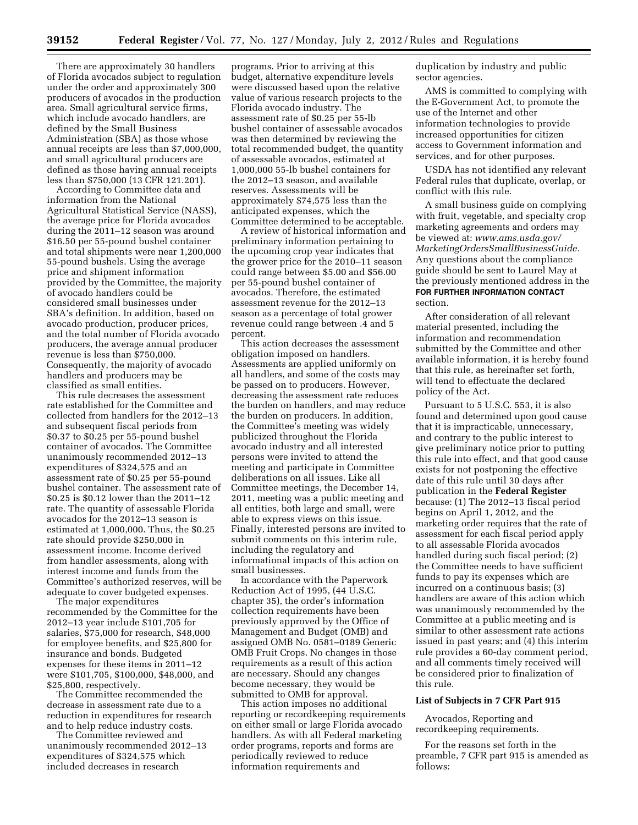There are approximately 30 handlers of Florida avocados subject to regulation under the order and approximately 300 producers of avocados in the production area. Small agricultural service firms, which include avocado handlers, are defined by the Small Business Administration (SBA) as those whose annual receipts are less than \$7,000,000, and small agricultural producers are defined as those having annual receipts less than \$750,000 (13 CFR 121.201).

According to Committee data and information from the National Agricultural Statistical Service (NASS), the average price for Florida avocados during the 2011–12 season was around \$16.50 per 55-pound bushel container and total shipments were near 1,200,000 55-pound bushels. Using the average price and shipment information provided by the Committee, the majority of avocado handlers could be considered small businesses under SBA's definition. In addition, based on avocado production, producer prices, and the total number of Florida avocado producers, the average annual producer revenue is less than \$750,000. Consequently, the majority of avocado handlers and producers may be classified as small entities.

This rule decreases the assessment rate established for the Committee and collected from handlers for the 2012–13 and subsequent fiscal periods from \$0.37 to \$0.25 per 55-pound bushel container of avocados. The Committee unanimously recommended 2012–13 expenditures of \$324,575 and an assessment rate of \$0.25 per 55-pound bushel container. The assessment rate of \$0.25 is \$0.12 lower than the 2011–12 rate. The quantity of assessable Florida avocados for the 2012–13 season is estimated at 1,000,000. Thus, the \$0.25 rate should provide \$250,000 in assessment income. Income derived from handler assessments, along with interest income and funds from the Committee's authorized reserves, will be adequate to cover budgeted expenses.

The major expenditures recommended by the Committee for the 2012–13 year include \$101,705 for salaries, \$75,000 for research, \$48,000 for employee benefits, and \$25,800 for insurance and bonds. Budgeted expenses for these items in 2011–12 were \$101,705, \$100,000, \$48,000, and \$25,800, respectively.

The Committee recommended the decrease in assessment rate due to a reduction in expenditures for research and to help reduce industry costs.

The Committee reviewed and unanimously recommended 2012–13 expenditures of \$324,575 which included decreases in research

programs. Prior to arriving at this budget, alternative expenditure levels were discussed based upon the relative value of various research projects to the Florida avocado industry. The assessment rate of \$0.25 per 55-lb bushel container of assessable avocados was then determined by reviewing the total recommended budget, the quantity of assessable avocados, estimated at 1,000,000 55-lb bushel containers for the 2012–13 season, and available reserves. Assessments will be approximately \$74,575 less than the anticipated expenses, which the Committee determined to be acceptable.

A review of historical information and preliminary information pertaining to the upcoming crop year indicates that the grower price for the 2010–11 season could range between \$5.00 and \$56.00 per 55-pound bushel container of avocados. Therefore, the estimated assessment revenue for the 2012–13 season as a percentage of total grower revenue could range between .4 and 5 percent.

This action decreases the assessment obligation imposed on handlers. Assessments are applied uniformly on all handlers, and some of the costs may be passed on to producers. However, decreasing the assessment rate reduces the burden on handlers, and may reduce the burden on producers. In addition, the Committee's meeting was widely publicized throughout the Florida avocado industry and all interested persons were invited to attend the meeting and participate in Committee deliberations on all issues. Like all Committee meetings, the December 14, 2011, meeting was a public meeting and all entities, both large and small, were able to express views on this issue. Finally, interested persons are invited to submit comments on this interim rule, including the regulatory and informational impacts of this action on small businesses.

In accordance with the Paperwork Reduction Act of 1995, (44 U.S.C. chapter 35), the order's information collection requirements have been previously approved by the Office of Management and Budget (OMB) and assigned OMB No. 0581–0189 Generic OMB Fruit Crops. No changes in those requirements as a result of this action are necessary. Should any changes become necessary, they would be submitted to OMB for approval.

This action imposes no additional reporting or recordkeeping requirements on either small or large Florida avocado handlers. As with all Federal marketing order programs, reports and forms are periodically reviewed to reduce information requirements and

duplication by industry and public sector agencies.

AMS is committed to complying with the E-Government Act, to promote the use of the Internet and other information technologies to provide increased opportunities for citizen access to Government information and services, and for other purposes.

USDA has not identified any relevant Federal rules that duplicate, overlap, or conflict with this rule.

A small business guide on complying with fruit, vegetable, and specialty crop marketing agreements and orders may be viewed at: *[www.ams.usda.gov/](http://www.ams.usda.gov/MarketingOrdersSmallBusinessGuide)  [MarketingOrdersSmallBusinessGuide.](http://www.ams.usda.gov/MarketingOrdersSmallBusinessGuide)*  Any questions about the compliance guide should be sent to Laurel May at the previously mentioned address in the **FOR FURTHER INFORMATION CONTACT** section.

After consideration of all relevant material presented, including the information and recommendation submitted by the Committee and other available information, it is hereby found that this rule, as hereinafter set forth, will tend to effectuate the declared policy of the Act.

Pursuant to 5 U.S.C. 553, it is also found and determined upon good cause that it is impracticable, unnecessary, and contrary to the public interest to give preliminary notice prior to putting this rule into effect, and that good cause exists for not postponing the effective date of this rule until 30 days after publication in the **Federal Register**  because: (1) The 2012–13 fiscal period begins on April 1, 2012, and the marketing order requires that the rate of assessment for each fiscal period apply to all assessable Florida avocados handled during such fiscal period; (2) the Committee needs to have sufficient funds to pay its expenses which are incurred on a continuous basis; (3) handlers are aware of this action which was unanimously recommended by the Committee at a public meeting and is similar to other assessment rate actions issued in past years; and (4) this interim rule provides a 60-day comment period, and all comments timely received will be considered prior to finalization of this rule.

# **List of Subjects in 7 CFR Part 915**

Avocados, Reporting and recordkeeping requirements.

For the reasons set forth in the preamble, 7 CFR part 915 is amended as follows: